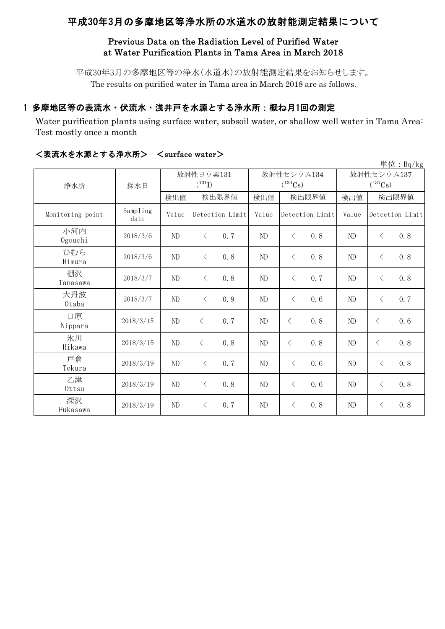# 平成30年3月の多摩地区等浄水所の水道水の放射能測定結果について

## Previous Data on the Radiation Level of Purified Water at Water Purification Plants in Tama Area in March 2018

平成30年3月の多摩地区等の浄水(水道水)の放射能測定結果をお知らせします。 The results on purified water in Tama area in March 2018 are as follows.

## 1 多摩地区等の表流水・伏流水・浅井戸を水源とする浄水所:概ね月1回の測定

Water purification plants using surface water, subsoil water, or shallow well water in Tama Area: Test mostly once a month

|                  |                  |                          |                  |          |                            |                                     | 単位: Bq/kg        |  |
|------------------|------------------|--------------------------|------------------|----------|----------------------------|-------------------------------------|------------------|--|
| 浄水所              | 採水日              | 放射性ヨウ素131<br>$(^{131}I)$ |                  |          | 放射性セシウム134<br>$(^{134}Cs)$ | 放射性セシウム137<br>$(^{137}\mathrm{Cs})$ |                  |  |
|                  |                  | 検出値                      | 検出限界値            | 検出値      | 検出限界値                      | 検出値                                 | 検出限界値            |  |
| Monitoring point | Sampling<br>date | Value                    | Detection Limit  | Value    | Detection Limit            | Value                               | Detection Limit  |  |
| 小河内<br>Ogouchi   | 2018/3/6         | ND                       | 0.7<br>$\lt$     | $\rm ND$ | $\langle$<br>0.8           | ND                                  | 0.8<br>$\langle$ |  |
| ひむら<br>Himura    | 2018/3/6         | ND                       | 0.8<br>$\langle$ | ND       | 0.8<br>$\lt$               | ND                                  | 0.8<br>$\langle$ |  |
| 棚沢<br>Tanasawa   | 2018/3/7         | ND                       | 0.8<br>$\langle$ | ND       | $\lt$<br>0.7               | ND                                  | 0.8<br>$\lt$     |  |
| 大丹波<br>0taba     | 2018/3/7         | ND                       | 0.9<br>$\langle$ | ND       | $\lt$<br>0.6               | ND                                  | 0.7<br>$\langle$ |  |
| 日原<br>Nippara    | 2018/3/15        | ND                       | 0.7<br>$\lt$     | ND       | 0.8<br>$\langle$           | ND                                  | 0.6<br>$\lt$     |  |
| 氷川<br>Hikawa     | 2018/3/15        | ND                       | 0.8<br>$\lt$     | ND       | 0.8<br>$\langle$           | ND                                  | 0.8<br>$\lt$     |  |
| 戸倉<br>Tokura     | 2018/3/19        | $\rm ND$                 | 0.7<br>$\langle$ | ND       | 0.6<br>$\langle$           | ND                                  | 0.8<br>$\lt$     |  |
| 乙津<br>Ottsu      | 2018/3/19        | $\rm ND$                 | 0.8<br>$\langle$ | ND       | 0.6<br>$\langle$           | ND                                  | 0.8<br>$\lt$     |  |
| 深沢<br>Fukasawa   | 2018/3/19        | ND                       | 0.7<br>$\langle$ | ND       | 0.8<br>$\lt$               | ND                                  | 0.8<br>$\langle$ |  |

### <表流水を水源とする浄水所> <surface water>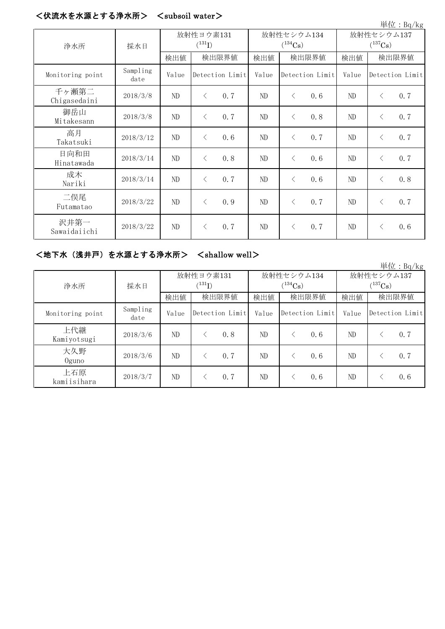#### <伏流水を水源とする浄水所> <subsoil water>

| 単位: Bq/kg             |                  |                          |                 |                            |       |                 |                            |       |           |                 |
|-----------------------|------------------|--------------------------|-----------------|----------------------------|-------|-----------------|----------------------------|-------|-----------|-----------------|
| 浄水所                   | 採水日              | 放射性ヨウ素131<br>$(^{131}I)$ |                 | 放射性セシウム134<br>$(^{134}Cs)$ |       |                 | 放射性セシウム137<br>$(^{137}Cs)$ |       |           |                 |
|                       |                  | 検出値                      | 検出限界値           |                            | 検出値   | 検出限界値           |                            | 検出値   | 検出限界値     |                 |
| Monitoring point      | Sampling<br>date | Value                    | Detection Limit |                            | Value | Detection Limit |                            | Value |           | Detection Limit |
| 千ヶ瀬第二<br>Chigasedaini | 2018/3/8         | $\rm ND$                 | $\langle$       | 0.7                        | ND    | $\langle$       | 0.6                        | ND    | $\langle$ | 0.7             |
| 御岳山<br>Mitakesann     | 2018/3/8         | ND                       | $\langle$       | 0.7                        | ND    | $\lt$           | 0.8                        | ND    | $\langle$ | 0.7             |
| 高月<br>Takatsuki       | 2018/3/12        | ND                       | $\langle$       | 0.6                        | ND    | $\lt$           | 0.7                        | ND    | $\langle$ | 0.7             |
| 日向和田<br>Hinatawada    | 2018/3/14        | ND                       | $\lt$           | 0.8                        | ND    | $\langle$       | 0.6                        | ND    | $\langle$ | 0.7             |
| 成木<br>Nariki          | 2018/3/14        | ND                       | $\lt$           | 0.7                        | ND    | $\lt$           | 0.6                        | ND    | $\langle$ | 0.8             |
| 二俣尾<br>Futamatao      | 2018/3/22        | ND                       | $\langle$       | 0.9                        | ND    | $\lt$           | 0.7                        | ND    | $\langle$ | 0.7             |
| 沢井第一<br>Sawaidaiichi  | 2018/3/22        | ND                       | $\langle$       | 0.7                        | ND    | $\langle$       | 0.7                        | ND    | $\langle$ | 0.6             |

#### <地下水(浅井戸)を水源とする浄水所> <shallow well>

単位:Bq/kg 検出値 検出限界値 検出値 検出値 検出値 Monitoring point Sampling<br>date Value Detection Limit Value Detection Limit Value 上代継 Kamiyotsugi 2018/3/6 ND <sup>&</sup>lt; 0.8 ND <sup>&</sup>lt; 0.6 ND <sup>&</sup>lt; 0.7 大久野 Oguno 2018/3/6 ND <sup>&</sup>lt; 0.7 ND <sup>&</sup>lt; 0.6 ND <sup>&</sup>lt; 0.7 上石原  $\frac{11}{24}$   $\frac{1}{20}$   $\frac{1}{2018/3/7}$  ND  $\leq$  0.7 ND  $\leq$  0.6 ND  $\leq$  0.6 検出限界値 | 検出限界値 | 検出値 | 検出限界値 放射性ヨウ素131  $(^{131}I)$ 放射性セシウム134  $(^{134}Cs)$ 放射性セシウム137  $(^{137}\mathrm{Cs})$ 浄水所 | 採水日 Detection Limit Value Detection Limit